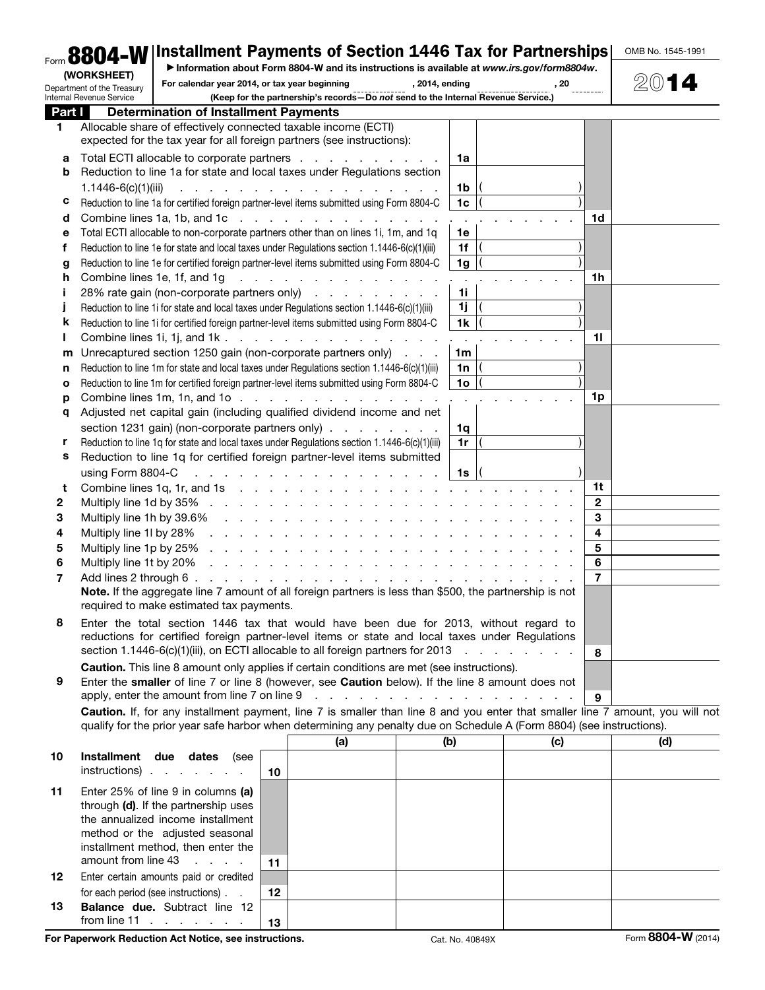|        | Form 8804-W   Installment Payments of Section 1446 Tax for Partnerships                                                        |                                                                                     |                                                                                                                                                                                                                               |                |                |      |                   | OMB No. 1545-1991 |
|--------|--------------------------------------------------------------------------------------------------------------------------------|-------------------------------------------------------------------------------------|-------------------------------------------------------------------------------------------------------------------------------------------------------------------------------------------------------------------------------|----------------|----------------|------|-------------------|-------------------|
|        | (WORKSHEET)                                                                                                                    |                                                                                     | Information about Form 8804-W and its instructions is available at www.irs.gov/form8804w.                                                                                                                                     |                |                |      |                   |                   |
|        | Department of the Treasury<br>Internal Revenue Service                                                                         | For calendar year 2014, or tax year beginning                                       | (Keep for the partnership's records-Do not send to the Internal Revenue Service.)                                                                                                                                             | , 2014, ending |                | , 20 |                   |                   |
| Part I | <b>Determination of Installment Payments</b>                                                                                   |                                                                                     |                                                                                                                                                                                                                               |                |                |      |                   |                   |
| 1.     | Allocable share of effectively connected taxable income (ECTI)                                                                 |                                                                                     |                                                                                                                                                                                                                               |                |                |      |                   |                   |
|        | expected for the tax year for all foreign partners (see instructions):                                                         |                                                                                     |                                                                                                                                                                                                                               |                |                |      |                   |                   |
|        | Total ECTI allocable to corporate partners                                                                                     |                                                                                     |                                                                                                                                                                                                                               |                | 1a             |      |                   |                   |
| а<br>b | Reduction to line 1a for state and local taxes under Regulations section                                                       |                                                                                     |                                                                                                                                                                                                                               |                |                |      |                   |                   |
|        | $1.1446 - 6(c)(1)(iii)$                                                                                                        |                                                                                     | .                                                                                                                                                                                                                             |                | 1b             |      |                   |                   |
| с      | Reduction to line 1a for certified foreign partner-level items submitted using Form 8804-C                                     |                                                                                     |                                                                                                                                                                                                                               |                | 1 <sub>c</sub> |      |                   |                   |
| d      | Combine lines 1a, 1b, and 1c                                                                                                   |                                                                                     |                                                                                                                                                                                                                               |                |                |      | 1d                |                   |
| е      | Total ECTI allocable to non-corporate partners other than on lines 1i, 1m, and 1q                                              |                                                                                     |                                                                                                                                                                                                                               |                | 1e             |      |                   |                   |
| f      | Reduction to line 1e for state and local taxes under Regulations section 1.1446-6(c)(1)(iii)                                   |                                                                                     |                                                                                                                                                                                                                               |                | 1f             |      |                   |                   |
| g      | Reduction to line 1e for certified foreign partner-level items submitted using Form 8804-C                                     |                                                                                     |                                                                                                                                                                                                                               |                | 1 <sub>g</sub> |      |                   |                   |
| h      | Combine lines 1e, 1f, and 1g                                                                                                   |                                                                                     | <u>.</u>                                                                                                                                                                                                                      |                |                |      | 1h                |                   |
| Ť      | 28% rate gain (non-corporate partners only)                                                                                    |                                                                                     |                                                                                                                                                                                                                               |                | 1i             |      |                   |                   |
| J      | Reduction to line 1i for state and local taxes under Regulations section 1.1446-6(c)(1)(iii)                                   |                                                                                     |                                                                                                                                                                                                                               |                | 1j             |      |                   |                   |
| ĸ      | Reduction to line 1i for certified foreign partner-level items submitted using Form 8804-C                                     |                                                                                     |                                                                                                                                                                                                                               |                | 1 <sub>k</sub> |      |                   |                   |
| ı      | Combine lines 1i, 1j, and 1k                                                                                                   |                                                                                     |                                                                                                                                                                                                                               |                |                |      | 11                |                   |
| m      | Unrecaptured section 1250 gain (non-corporate partners only)                                                                   |                                                                                     |                                                                                                                                                                                                                               |                | 1 <sub>m</sub> |      |                   |                   |
| n      | Reduction to line 1m for state and local taxes under Regulations section 1.1446-6(c)(1)(iii)                                   |                                                                                     |                                                                                                                                                                                                                               |                | 1n             |      |                   |                   |
| o      | Reduction to line 1m for certified foreign partner-level items submitted using Form 8804-C                                     |                                                                                     |                                                                                                                                                                                                                               |                | 1 <sub>o</sub> |      |                   |                   |
| р      | Combine lines 1m, 1n, and 1o                                                                                                   |                                                                                     |                                                                                                                                                                                                                               |                |                |      | 1p                |                   |
| q      | Adjusted net capital gain (including qualified dividend income and net                                                         |                                                                                     |                                                                                                                                                                                                                               |                |                |      |                   |                   |
|        | section 1231 gain) (non-corporate partners only)                                                                               |                                                                                     |                                                                                                                                                                                                                               |                | 1q             |      |                   |                   |
| r      | Reduction to line 1q for state and local taxes under Regulations section 1.1446-6(c)(1)(iii)                                   |                                                                                     |                                                                                                                                                                                                                               |                | 1r             |      |                   |                   |
| s      | Reduction to line 1q for certified foreign partner-level items submitted                                                       |                                                                                     |                                                                                                                                                                                                                               |                |                |      |                   |                   |
|        | using Form 8804-C                                                                                                              | and the contract of the contract of the contract of the contract of the contract of |                                                                                                                                                                                                                               |                | 1s             |      |                   |                   |
| t      | Combine lines 1q, 1r, and 1s                                                                                                   |                                                                                     |                                                                                                                                                                                                                               |                |                |      | 1t                |                   |
| 2      | Multiply line 1d by 35%                                                                                                        |                                                                                     |                                                                                                                                                                                                                               |                |                |      | $\mathbf{2}$<br>3 |                   |
| 3<br>4 | Multiply line 1h by 39.6%<br>Multiply line 1I by 28%                                                                           |                                                                                     | a na kama na kama na kama na kama na kama                                                                                                                                                                                     |                |                |      | 4                 |                   |
| 5      | Multiply line 1p by 25%                                                                                                        |                                                                                     | and the second contract of the second contract of the second contract of the second contract of the second contract of the second contract of the second contract of the second contract of the second contract of the second |                |                |      | 5                 |                   |
| 6      | Multiply line 1t by 20%                                                                                                        |                                                                                     |                                                                                                                                                                                                                               |                |                |      | 6                 |                   |
| 7      | Add lines 2 through 6 .                                                                                                        | a na mana na mana na mana                                                           |                                                                                                                                                                                                                               |                |                |      | 7                 |                   |
|        | Note. If the aggregate line 7 amount of all foreign partners is less than \$500, the partnership is not                        |                                                                                     |                                                                                                                                                                                                                               |                |                |      |                   |                   |
|        | required to make estimated tax payments.                                                                                       |                                                                                     |                                                                                                                                                                                                                               |                |                |      |                   |                   |
| 8      | Enter the total section 1446 tax that would have been due for 2013, without regard to                                          |                                                                                     |                                                                                                                                                                                                                               |                |                |      |                   |                   |
|        | reductions for certified foreign partner-level items or state and local taxes under Regulations                                |                                                                                     |                                                                                                                                                                                                                               |                |                |      |                   |                   |
|        | section 1.1446-6(c)(1)(iii), on ECTI allocable to all foreign partners for 2013                                                |                                                                                     |                                                                                                                                                                                                                               |                |                |      | 8                 |                   |
|        | Caution. This line 8 amount only applies if certain conditions are met (see instructions).                                     |                                                                                     |                                                                                                                                                                                                                               |                |                |      |                   |                   |
| 9      | Enter the smaller of line 7 or line 8 (however, see Caution below). If the line 8 amount does not                              |                                                                                     |                                                                                                                                                                                                                               |                |                |      |                   |                   |
|        | apply, enter the amount from line 7 on line 9                                                                                  |                                                                                     | and the contract of the contract of the contract of                                                                                                                                                                           |                |                |      | 9                 |                   |
|        | Caution. If, for any installment payment, line 7 is smaller than line 8 and you enter that smaller line 7 amount, you will not |                                                                                     |                                                                                                                                                                                                                               |                |                |      |                   |                   |
|        | qualify for the prior year safe harbor when determining any penalty due on Schedule A (Form 8804) (see instructions).          |                                                                                     |                                                                                                                                                                                                                               |                |                |      |                   |                   |
|        |                                                                                                                                |                                                                                     | (a)                                                                                                                                                                                                                           |                | (b)            | (c)  |                   | (d)               |
| 10     | Installment due dates                                                                                                          | (see                                                                                |                                                                                                                                                                                                                               |                |                |      |                   |                   |
|        | $instructions)$                                                                                                                | 10                                                                                  |                                                                                                                                                                                                                               |                |                |      |                   |                   |
| 11     | Enter 25% of line 9 in columns (a)                                                                                             |                                                                                     |                                                                                                                                                                                                                               |                |                |      |                   |                   |
|        | through (d). If the partnership uses                                                                                           |                                                                                     |                                                                                                                                                                                                                               |                |                |      |                   |                   |
|        | the annualized income installment                                                                                              |                                                                                     |                                                                                                                                                                                                                               |                |                |      |                   |                   |
|        | method or the adjusted seasonal<br>installment method, then enter the                                                          |                                                                                     |                                                                                                                                                                                                                               |                |                |      |                   |                   |
|        | amount from line 43<br><b>Contract Contract Contract</b>                                                                       | 11                                                                                  |                                                                                                                                                                                                                               |                |                |      |                   |                   |
| 12     | Enter certain amounts paid or credited                                                                                         |                                                                                     |                                                                                                                                                                                                                               |                |                |      |                   |                   |
|        | for each period (see instructions).                                                                                            | 12                                                                                  |                                                                                                                                                                                                                               |                |                |      |                   |                   |
| 13     | Balance due. Subtract line 12                                                                                                  |                                                                                     |                                                                                                                                                                                                                               |                |                |      |                   |                   |
|        | from line $11 \cdot \cdot \cdot \cdot \cdot \cdot$                                                                             | 13                                                                                  |                                                                                                                                                                                                                               |                |                |      |                   |                   |

For Paperwork Reduction Act Notice, see instructions. Cat. No. 40849X Form 8804-W (2014)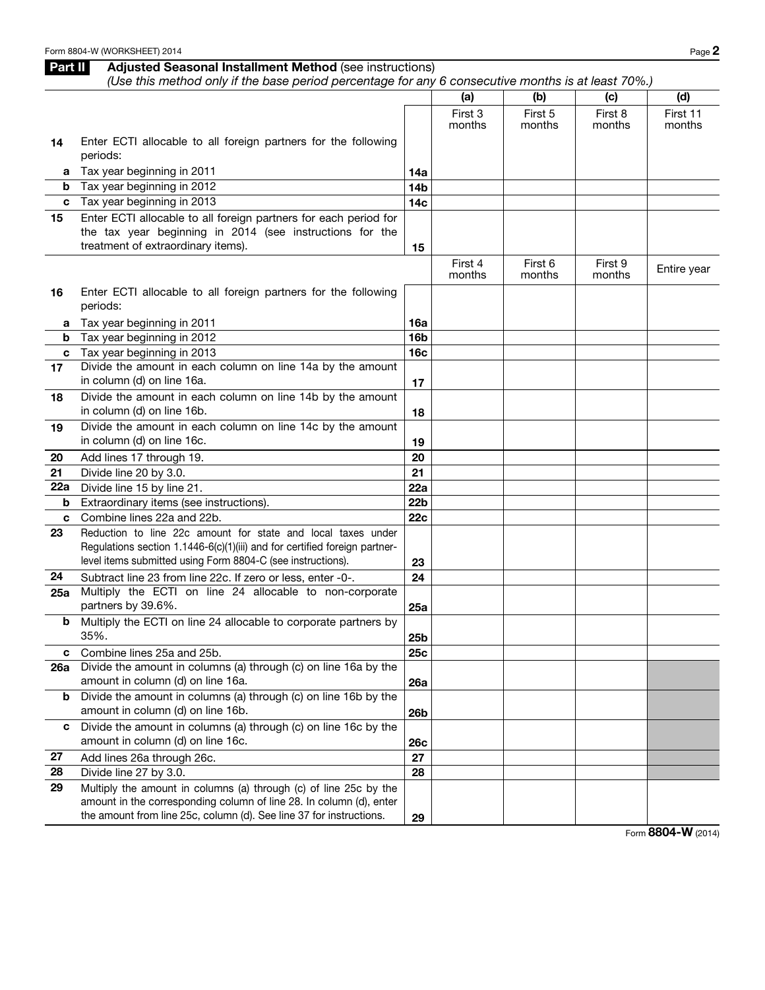## Part II Adjusted Seasonal Installment Method (see instructions) *(Use this method only if the base period percentage for any 6 consecutive months is at least 70%.)*

|     |                                                                            |                 | (a)     | (b)     | (c)     | (d)         |
|-----|----------------------------------------------------------------------------|-----------------|---------|---------|---------|-------------|
|     |                                                                            |                 | First 3 | First 5 | First 8 | First 11    |
|     |                                                                            |                 | months  | months  | months  | months      |
| 14  | Enter ECTI allocable to all foreign partners for the following             |                 |         |         |         |             |
|     | periods:                                                                   |                 |         |         |         |             |
| a   | Tax year beginning in 2011                                                 | 14a             |         |         |         |             |
| b   | Tax year beginning in 2012                                                 | 14 <sub>b</sub> |         |         |         |             |
| c   | Tax year beginning in 2013                                                 | 14 <sub>c</sub> |         |         |         |             |
| 15  | Enter ECTI allocable to all foreign partners for each period for           |                 |         |         |         |             |
|     | the tax year beginning in 2014 (see instructions for the                   |                 |         |         |         |             |
|     | treatment of extraordinary items).                                         | 15              |         |         |         |             |
|     |                                                                            |                 | First 4 | First 6 | First 9 | Entire year |
|     |                                                                            |                 | months  | months  | months  |             |
| 16  | Enter ECTI allocable to all foreign partners for the following             |                 |         |         |         |             |
|     | periods:                                                                   |                 |         |         |         |             |
| a   | Tax year beginning in 2011                                                 | 16a             |         |         |         |             |
| b   | Tax year beginning in 2012                                                 | 16 <sub>b</sub> |         |         |         |             |
| c   | Tax year beginning in 2013                                                 | 16 <sub>c</sub> |         |         |         |             |
| 17  | Divide the amount in each column on line 14a by the amount                 |                 |         |         |         |             |
|     | in column (d) on line 16a.                                                 | 17              |         |         |         |             |
| 18  | Divide the amount in each column on line 14b by the amount                 |                 |         |         |         |             |
|     | in column (d) on line 16b.                                                 | 18              |         |         |         |             |
| 19  | Divide the amount in each column on line 14c by the amount                 |                 |         |         |         |             |
|     | in column (d) on line 16c.                                                 | 19              |         |         |         |             |
| 20  | Add lines 17 through 19.                                                   | 20              |         |         |         |             |
| 21  | Divide line 20 by 3.0.                                                     | 21              |         |         |         |             |
| 22a | Divide line 15 by line 21.                                                 | 22a             |         |         |         |             |
| b   | Extraordinary items (see instructions).                                    | 22 <sub>b</sub> |         |         |         |             |
| c   | Combine lines 22a and 22b.                                                 | 22c             |         |         |         |             |
| 23  | Reduction to line 22c amount for state and local taxes under               |                 |         |         |         |             |
|     | Regulations section 1.1446-6(c)(1)(iii) and for certified foreign partner- |                 |         |         |         |             |
|     | level items submitted using Form 8804-C (see instructions).                | 23              |         |         |         |             |
| 24  | Subtract line 23 from line 22c. If zero or less, enter -0-.                | 24              |         |         |         |             |
| 25a | Multiply the ECTI on line 24 allocable to non-corporate                    |                 |         |         |         |             |
|     | partners by 39.6%.                                                         | 25a             |         |         |         |             |
| b   | Multiply the ECTI on line 24 allocable to corporate partners by            |                 |         |         |         |             |
|     | 35%.                                                                       | 25 <sub>b</sub> |         |         |         |             |
|     | c Combine lines 25a and 25b.                                               | <b>25c</b>      |         |         |         |             |
| 26a | Divide the amount in columns (a) through (c) on line 16a by the            |                 |         |         |         |             |
|     | amount in column (d) on line 16a.                                          | 26a             |         |         |         |             |
| b   | Divide the amount in columns (a) through (c) on line 16b by the            |                 |         |         |         |             |
|     | amount in column (d) on line 16b.                                          | <b>26b</b>      |         |         |         |             |
| c   | Divide the amount in columns (a) through (c) on line 16c by the            |                 |         |         |         |             |
|     | amount in column (d) on line 16c.                                          | <b>26c</b>      |         |         |         |             |
| 27  | Add lines 26a through 26c.                                                 | 27              |         |         |         |             |
| 28  | Divide line 27 by 3.0.                                                     | 28              |         |         |         |             |
| 29  | Multiply the amount in columns (a) through (c) of line 25c by the          |                 |         |         |         |             |
|     | amount in the corresponding column of line 28. In column (d), enter        |                 |         |         |         |             |
|     | the amount from line 25c, column (d). See line 37 for instructions.        | 29              |         |         |         |             |

Form 8804-W (2014)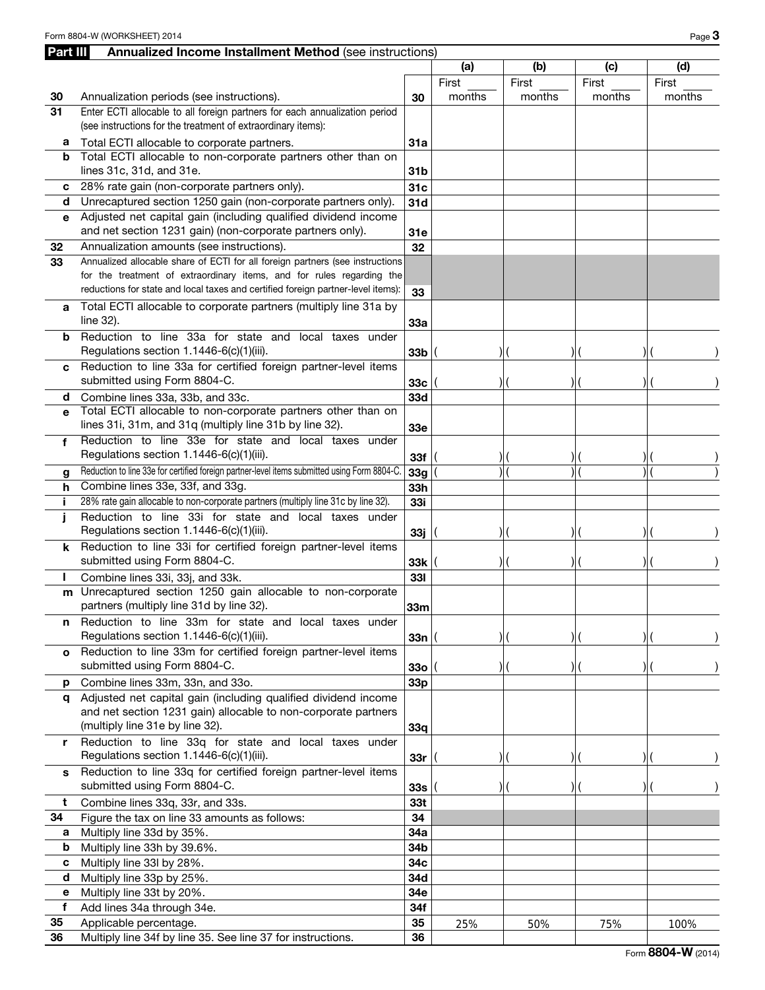| <b>Part III</b> | <b>Annualized Income Installment Method (see instructions)</b>                                                                                                                                                                             |                 |        |        |        |        |
|-----------------|--------------------------------------------------------------------------------------------------------------------------------------------------------------------------------------------------------------------------------------------|-----------------|--------|--------|--------|--------|
|                 |                                                                                                                                                                                                                                            |                 | (a)    | (b)    | (c)    | (d)    |
|                 |                                                                                                                                                                                                                                            |                 | First  | First  | First  | First  |
| 30              | Annualization periods (see instructions).                                                                                                                                                                                                  |                 | months | months | months | months |
| 31              | Enter ECTI allocable to all foreign partners for each annualization period<br>(see instructions for the treatment of extraordinary items):                                                                                                 |                 |        |        |        |        |
| a               | Total ECTI allocable to corporate partners.                                                                                                                                                                                                | 31a             |        |        |        |        |
| b               | Total ECTI allocable to non-corporate partners other than on                                                                                                                                                                               |                 |        |        |        |        |
|                 | lines 31c, 31d, and 31e.                                                                                                                                                                                                                   | 31 <sub>b</sub> |        |        |        |        |
| С               | 28% rate gain (non-corporate partners only).                                                                                                                                                                                               | 31c             |        |        |        |        |
| d               | Unrecaptured section 1250 gain (non-corporate partners only).<br>Adjusted net capital gain (including qualified dividend income                                                                                                            | 31d             |        |        |        |        |
| е               | and net section 1231 gain) (non-corporate partners only).                                                                                                                                                                                  | 31e             |        |        |        |        |
| 32              | Annualization amounts (see instructions).                                                                                                                                                                                                  | 32              |        |        |        |        |
| 33              | Annualized allocable share of ECTI for all foreign partners (see instructions<br>for the treatment of extraordinary items, and for rules regarding the<br>reductions for state and local taxes and certified foreign partner-level items): | 33              |        |        |        |        |
| а               | Total ECTI allocable to corporate partners (multiply line 31a by<br>line 32).                                                                                                                                                              | 33a             |        |        |        |        |
| b               | Reduction to line 33a for state and local taxes under<br>Regulations section 1.1446-6(c)(1)(iii).                                                                                                                                          | 33 <sub>b</sub> |        |        |        |        |
| C               | Reduction to line 33a for certified foreign partner-level items<br>submitted using Form 8804-C.                                                                                                                                            | 33c             |        |        |        |        |
| d               | Combine lines 33a, 33b, and 33c.                                                                                                                                                                                                           | 33d             |        |        |        |        |
| e               | Total ECTI allocable to non-corporate partners other than on<br>lines 31i, 31m, and 31q (multiply line 31b by line 32).                                                                                                                    | 33e             |        |        |        |        |
| f               | Reduction to line 33e for state and local taxes under<br>Regulations section 1.1446-6(c)(1)(iii).                                                                                                                                          | 33f             |        |        |        |        |
| g               | Reduction to line 33e for certified foreign partner-level items submitted using Form 8804-C.                                                                                                                                               | 33g             |        |        |        |        |
| h               | Combine lines 33e, 33f, and 33g.                                                                                                                                                                                                           | 33h             |        |        |        |        |
| j.              | 28% rate gain allocable to non-corporate partners (multiply line 31c by line 32).                                                                                                                                                          | 33i             |        |        |        |        |
| j               | Reduction to line 33i for state and local taxes under<br>Regulations section 1.1446-6(c)(1)(iii).                                                                                                                                          | 33j             |        |        |        |        |
| k               | Reduction to line 33i for certified foreign partner-level items<br>submitted using Form 8804-C.                                                                                                                                            | 33k             |        |        |        |        |
| L               | Combine lines 33i, 33j, and 33k.                                                                                                                                                                                                           | 331             |        |        |        |        |
|                 | m Unrecaptured section 1250 gain allocable to non-corporate<br>partners (multiply line 31d by line 32).                                                                                                                                    | 33m             |        |        |        |        |
| n               | Reduction to line 33m for state and local taxes under<br>Regulations section 1.1446-6(c)(1)(iii).                                                                                                                                          | 33n             |        |        |        |        |
| $\mathbf{o}$    | Reduction to line 33m for certified foreign partner-level items                                                                                                                                                                            |                 |        |        |        |        |
|                 | submitted using Form 8804-C.                                                                                                                                                                                                               | 330             |        |        |        |        |
| р               | Combine lines 33m, 33n, and 33o.                                                                                                                                                                                                           | 33p             |        |        |        |        |
|                 | q Adjusted net capital gain (including qualified dividend income<br>and net section 1231 gain) allocable to non-corporate partners<br>(multiply line 31e by line 32).                                                                      | 33q             |        |        |        |        |
|                 | r Reduction to line 33q for state and local taxes under<br>Regulations section 1.1446-6(c)(1)(iii).                                                                                                                                        | 33r             |        |        |        |        |
| s               | Reduction to line 33q for certified foreign partner-level items<br>submitted using Form 8804-C.                                                                                                                                            | 33s             |        |        |        |        |
| t               | Combine lines 33q, 33r, and 33s.                                                                                                                                                                                                           | 33 <sub>t</sub> |        |        |        |        |
| 34              | Figure the tax on line 33 amounts as follows:                                                                                                                                                                                              | 34              |        |        |        |        |
| а               | Multiply line 33d by 35%.                                                                                                                                                                                                                  | 34a             |        |        |        |        |
| b               | Multiply line 33h by 39.6%.                                                                                                                                                                                                                | 34b             |        |        |        |        |
| С               | Multiply line 33l by 28%.                                                                                                                                                                                                                  | 34c             |        |        |        |        |
| d               | Multiply line 33p by 25%.                                                                                                                                                                                                                  | 34d             |        |        |        |        |
| е<br>f          | Multiply line 33t by 20%.<br>Add lines 34a through 34e.                                                                                                                                                                                    | 34e<br>34f      |        |        |        |        |
| 35              | Applicable percentage.                                                                                                                                                                                                                     | 35              | 25%    | 50%    | 75%    | 100%   |
| 36              | Multiply line 34f by line 35. See line 37 for instructions.                                                                                                                                                                                | 36              |        |        |        |        |